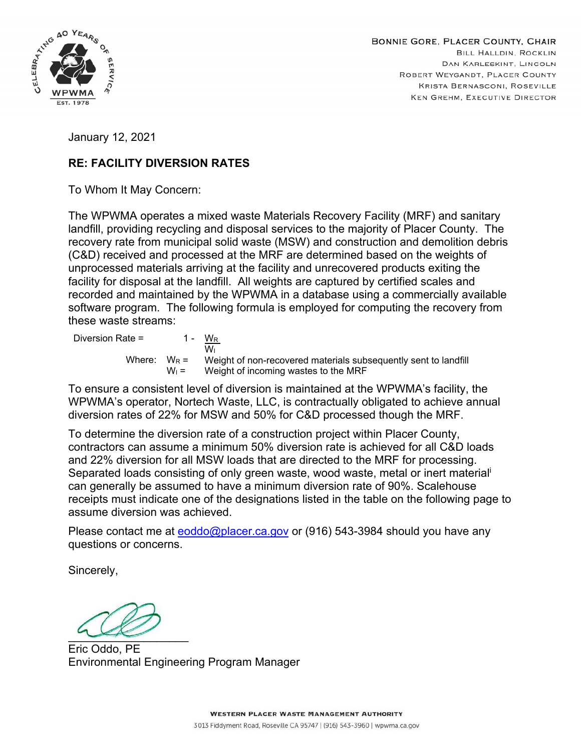

January 12, 2021

## **RE: FACILITY DIVERSION RATES**

To Whom It May Concern:

The WPWMA operates a mixed waste Materials Recovery Facility (MRF) and sanitary landfill, providing recycling and disposal services to the majority of Placer County. The recovery rate from municipal solid waste (MSW) and construction and demolition debris (C&D) received and processed at the MRF are determined based on the weights of unprocessed materials arriving at the facility and unrecovered products exiting the facility for disposal at the landfill. All weights are captured by certified scales and recorded and maintained by the WPWMA in a database using a commercially available software program. The following formula is employed for computing the recovery from these waste streams:

| Diversion Rate = |         | 1 - W <sub>R</sub><br>Wı                                                       |
|------------------|---------|--------------------------------------------------------------------------------|
|                  |         | Where: $W_R =$ Weight of non-recovered materials subsequently sent to landfill |
|                  | $W_1 =$ | Weight of incoming wastes to the MRF                                           |

To ensure a consistent level of diversion is maintained at the WPWMA's facility, the WPWMA's operator, Nortech Waste, LLC, is contractually obligated to achieve annual diversion rates of 22% for MSW and 50% for C&D processed though the MRF.

To determine the diversion rate of a construction project within Placer County, contractors can assume a minimum 50% diversion rate is achieved for all C&D loads and 22% diversion for all MSW loads that are directed to the MRF for processing. Separated loads consisting of only green waste, wood waste, metal or inert material<sup>i</sup> can generally be assumed to have a minimum diversion rate of 90%. Scalehouse receipts must indicate one of the designations listed in the table on the following page to assume diversion was achieved.

Please contact me at **eoddo@placer.ca.gov** or (916) 543-3984 should you have any questions or concerns.

Sincerely,

\_\_\_\_\_\_\_\_\_\_\_\_\_\_\_\_\_\_\_

Eric Oddo, PE Environmental Engineering Program Manager